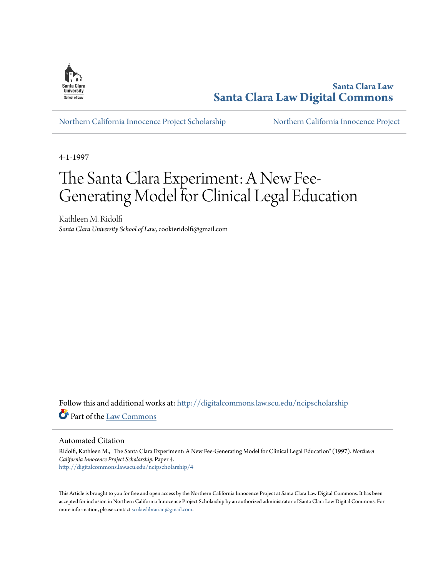

**Santa Clara Law [Santa Clara Law Digital Commons](http://digitalcommons.law.scu.edu?utm_source=digitalcommons.law.scu.edu%2Fncipscholarship%2F4&utm_medium=PDF&utm_campaign=PDFCoverPages)**

[Northern California Innocence Project Scholarship](http://digitalcommons.law.scu.edu/ncipscholarship?utm_source=digitalcommons.law.scu.edu%2Fncipscholarship%2F4&utm_medium=PDF&utm_campaign=PDFCoverPages) [Northern California Innocence Project](http://digitalcommons.law.scu.edu/ncip?utm_source=digitalcommons.law.scu.edu%2Fncipscholarship%2F4&utm_medium=PDF&utm_campaign=PDFCoverPages)

4-1-1997

# The Santa Clara Experiment: A New Fee-Generating Model for Clinical Legal Education

Kathleen M. Ridolfi *Santa Clara University School of Law*, cookieridolfi@gmail.com

Follow this and additional works at: [http://digitalcommons.law.scu.edu/ncipscholarship](http://digitalcommons.law.scu.edu/ncipscholarship?utm_source=digitalcommons.law.scu.edu%2Fncipscholarship%2F4&utm_medium=PDF&utm_campaign=PDFCoverPages) Part of the [Law Commons](http://network.bepress.com/hgg/discipline/578?utm_source=digitalcommons.law.scu.edu%2Fncipscholarship%2F4&utm_medium=PDF&utm_campaign=PDFCoverPages)

Automated Citation

Ridolfi, Kathleen M., "The Santa Clara Experiment: A New Fee-Generating Model for Clinical Legal Education" (1997). *Northern California Innocence Project Scholarship.* Paper 4. [http://digitalcommons.law.scu.edu/ncipscholarship/4](http://digitalcommons.law.scu.edu/ncipscholarship/4?utm_source=digitalcommons.law.scu.edu%2Fncipscholarship%2F4&utm_medium=PDF&utm_campaign=PDFCoverPages)

This Article is brought to you for free and open access by the Northern California Innocence Project at Santa Clara Law Digital Commons. It has been accepted for inclusion in Northern California Innocence Project Scholarship by an authorized administrator of Santa Clara Law Digital Commons. For more information, please contact [sculawlibrarian@gmail.com](mailto:sculawlibrarian@gmail.com).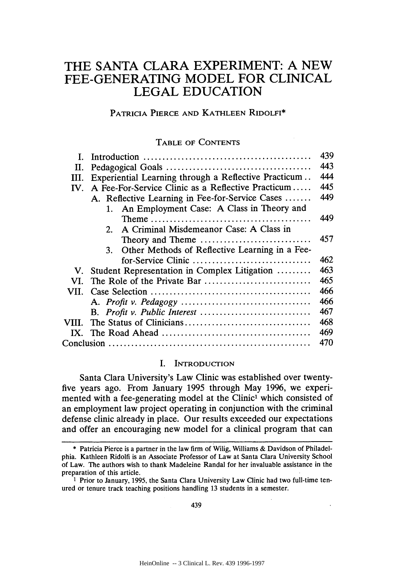# THE **SANTA** CLARA EXPERIMENT: **A NEW** FEE-GENERATING MODEL FOR CLINICAL LEGAL EDUCATION

# PATRICIA PIERCE **AND KATHLEEN** RIDOLFI\*

# TABLE OF **CONTENTS**

|                                                           |                                                                                             | 439 |  |
|-----------------------------------------------------------|---------------------------------------------------------------------------------------------|-----|--|
| П.                                                        | 443                                                                                         |     |  |
| Ш.                                                        | 444<br>Experiential Learning through a Reflective Practicum                                 |     |  |
| A Fee-For-Service Clinic as a Reflective Practicum<br>IV. |                                                                                             |     |  |
|                                                           | A. Reflective Learning in Fee-for-Service Cases                                             | 449 |  |
|                                                           | 1. An Employment Case: A Class in Theory and                                                |     |  |
|                                                           | Theme $\ldots \ldots \ldots \ldots \ldots \ldots \ldots \ldots \ldots \ldots \ldots \ldots$ | 449 |  |
|                                                           | A Criminal Misdemeanor Case: A Class in<br>2.                                               |     |  |
|                                                           | Theory and Theme                                                                            | 457 |  |
|                                                           | Other Methods of Reflective Learning in a Fee-<br>3 <sub>1</sub>                            |     |  |
|                                                           | for-Service Clinic                                                                          | 462 |  |
| V.                                                        | Student Representation in Complex Litigation                                                | 463 |  |
| VI.                                                       |                                                                                             | 465 |  |
| VII.                                                      |                                                                                             | 466 |  |
|                                                           |                                                                                             | 466 |  |
|                                                           |                                                                                             | 467 |  |
| VIII.                                                     |                                                                                             | 468 |  |
|                                                           |                                                                                             | 469 |  |
|                                                           |                                                                                             | 470 |  |

#### I. INTRODUCTION

Santa Clara University's Law Clinic was established over twentyfive years ago. From January 1995 through May 1996, we experimented with a fee-generating model at the Clinic<sup>1</sup> which consisted of an employment law project operating in conjunction with the criminal defense clinic already in place. Our results exceeded our expectations and offer an encouraging new model for a clinical program that can

<sup>\*</sup> Patricia Pierce is a partner in the law firm of Wilig, Williams & Davidson of Philadelphia. Kathleen Ridolfi is an Associate Professor of Law at Santa Clara University School of Law. The authors wish to thank Madeleine Randal for her invaluable assistance in the preparation of this article.

<sup>1</sup> Prior to January, **1995,** the Santa Clara University Law Clinic had two full-time tenured or tenure track teaching positions handling **13** students in a semester.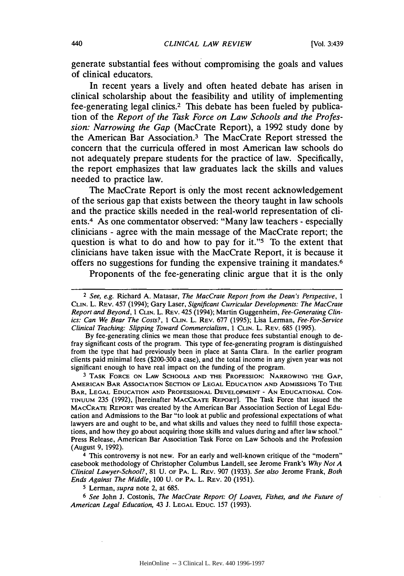generate substantial fees without compromising the goals and values of clinical educators.

In recent years a lively and often heated debate has arisen in clinical scholarship about the feasibility and utility of implementing fee-generating legal clinics.2 This debate has been fueled **by** publication of the *Report of the Task Force on Law Schools and the Profession: Narrowing the Gap* (MacCrate Report), a **1992** study done **by** the American Bar Association.<sup>3</sup> The MacCrate Report stressed the concern that the curricula offered in most American law schools do not adequately prepare students for the practice of law. Specifically, the report emphasizes that law graduates lack the skills and values needed to practice law.

The MacCrate Report is only the most recent acknowledgement of the serious gap that exists between the theory taught in law schools and the practice skills needed in the real-world representation of clients.4 As one commentator observed: "Many law teachers **-** especially clinicians **-** agree with the main message of the MacCrate report; the question is what to do and how to pay for it."5 To the extent that clinicians have taken issue with the MacCrate Report, it is because it offers no suggestions for funding the expensive training it mandates. <sup>6</sup>

Proponents of the fee-generating clinic argue that it is the only

By fee-generating clinics we mean those that produce fees substantial enough to defray significant costs of the program. This type of fee-generating program is distinguished from the type that had previously been in place at Santa Clara. In the earlier program clients paid minimal fees (\$200-300 a case), and the total income in any given year was not significant enough to have real impact on the funding of the program.

**<sup>3</sup>**TASK **FORCE ON** LAW **SCHOOLS AND THE PROFESSION:** NARROWING **THE GAP, AMERICAN** BAR **ASSOCIATION SECTION** OF **LEGAL** EDUCATION **AND** ADMISSIONS To **THE** BAR, **LEGAL EDUCATION AND PROFESSIONAL DEVELOPMENT** - AN **EDUCATIONAL CON-TINUUM 235** (1992), [hereinafter MACCRATE REPORT]. The Task Force that issued the MACCRATE REPORT was created by the American Bar Association Section of Legal Education and Admissions to the Bar "to look at public and professional expectations of what lawyers are and ought to be, and what skills and values they need to fulfill those expectations, and how they go about acquiring those skills and values during and after law school." Press Release, American Bar Association Task Force on Law Schools and the Profession (August **9,** 1992).

4 This controversy is not new. For an early and well-known critique of the "modem" casebook methodology of Christopher Columbus Landell, see Jerome Frank's *Why Not A Clinical Lawyer-School?,* 81 U. OF PA. L. REV. 907 (1933). *See also* Jerome Frank, *Both Ends Against The Middle,* 100 U. OF PA. L. REv. 20 (1951).

**5** Lerman, *supra* note 2, at 685.

*<sup>6</sup>See* John J. Costonis, *The MacCrate Report: Of Loaves, Fishes, and the Future of American Legal Education,* 43 J. **LEGAL EDUC.** 157 (1993).

*<sup>2</sup> See, e.g.* Richard A. Matasar, *The MacCrate Report from the Dean's Perspective, 1* **CLIN.** L. REV. 457 (1994); Gary Laser, *Significant Curricular Developments: The MacCrate Report* and Beyond, 1 **CLIN.** L. REV. 425 (1994); Martin Guggenheim, *Fee-Generating* Clinics: Can *We* Bear *The* Costs?, 1 **CLIN.** L. REV. 677 (1995); Lisa Lerman, *Fee-For-Service Clinical Teaching: Slipping Toward Commercialism,* 1 **CLIN.** L. REV. 685 (1995).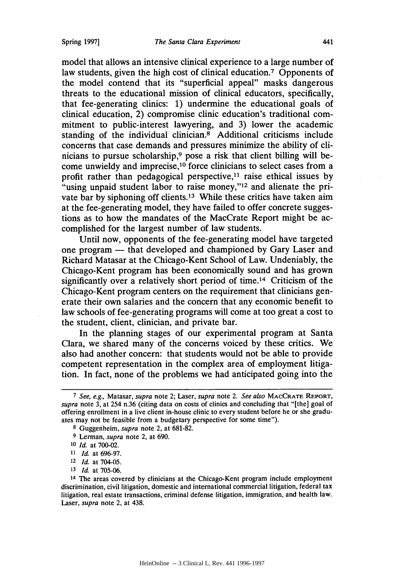model that allows an intensive clinical experience to a large number of law students, given the high cost of clinical education.<sup>7</sup> Opponents of the model contend that its "superficial appeal" masks dangerous threats to the educational mission of clinical educators, specifically, that fee-generating clinics: **1)** undermine the educational goals of clinical education, 2) compromise clinic education's traditional commitment to public-interest lawyering, and **3)** lower the academic standing of the individual clinician.<sup>8</sup> Additional criticisms include concerns that case demands and pressures minimize the ability of clinicians to pursue scholarship, $9$  pose a risk that client billing will become unwieldy and imprecise,  $10$  force clinicians to select cases from a profit rather than pedagogical perspective,  $11$  raise ethical issues by <sup>t</sup>using unpaid student labor to raise money,"<sup>12</sup> and alienate the private bar by siphoning off clients.<sup>13</sup> While these critics have taken aim at the fee-generating model, they have failed to offer concrete suggestions as to how the mandates of the MacCrate Report might be accomplished for the largest number of law students.

Until now, opponents of the fee-generating model have targeted one program - that developed and championed **by** Gary Laser and Richard Matasar at the Chicago-Kent School of Law. Undeniably, the Chicago-Kent program has been economically sound and has grown significantly over a relatively short period of time.14 Criticism of the Chicago-Kent program centers on the requirement that clinicians generate their own salaries and the concern that any economic benefit to law schools of fee-generating programs will come at too great a cost to the student, client, clinician, and private bar.

In the planning stages of our experimental program at Santa Clara, we shared many of the concerns voiced **by** these critics. We also had another concern: that students would not be able to provide competent representation in the complex area of employment litigation. In fact, none of the problems we had anticipated going into the

- <sup>12</sup>*Id.* at 704-05.
- **<sup>13</sup>***Id.* at **705-06.**

*<sup>7</sup> See, e.g.,* Matasar, *supra* note 2; Laser, *supra* note 2. *See also* MACCRATE REPORT, *supra* note **3,** at 254 n.36 (citing data on costs of clinics and concluding that "[the] goal of offering enrollment in a live client in-house clinic to every student before he or she graduates may not be feasible from a budgetary perspective for some time").

**<sup>8</sup>** Guggenheim, *supra* note 2, at **681-82.**

<sup>9</sup> Lerman, *supra* note 2, at **690.**

**<sup>10</sup>***Id.* at **700-02.**

*<sup>11</sup>Id.* at **696-97.**

<sup>14</sup> The areas covered **by** clinicians at the Chicago-Kent program include employment discrimination, civil litigation, domestic and international commercial litigation, federal tax litigation, real estate transactions, criminal defense litigation, immigration, and health law. Laser, *supra* note 2, at 438.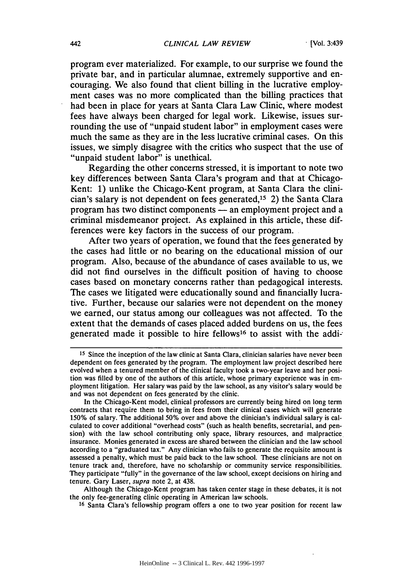program ever materialized. For example, to our surprise we found the private bar, and in particular alumnae, extremely supportive and encouraging. We also found that client billing in the lucrative employment cases was no more complicated than the billing practices that had been in place for years at Santa Clara Law Clinic, where modest fees have always been charged for legal work. Likewise, issues surrounding the use of "unpaid student labor" in employment cases were much the same as they are in the less lucrative criminal cases. On this issues, we simply disagree with the critics who suspect that the use of "unpaid student labor" is unethical.

Regarding the other concerns stressed, it is important to note two key differences between Santa Clara's program and that at Chicago-Kent: 1) unlike the Chicago-Kent program, at Santa Clara the clinician's salary is not dependent on fees generated,15 2) the Santa Clara program has two distinct components - an employment project and a criminal misdemeanor project. As explained in this article, these differences were key factors in the success of our program.

After two years of operation, we found that the fees generated by the cases had little or no bearing on the educational mission of our program. Also, because of the abundance of cases available to us, we did not find ourselves in the difficult position of having to choose cases based on monetary concerns rather than pedagogical interests. The cases we litigated were educationally sound and financially lucrative. Further, because our salaries were not dependent on the money we earned, our status among our colleagues was not affected. To the extent that the demands of cases placed added burdens on us, the fees generated made it possible to hire fellows<sup>16</sup> to assist with the addi-

Although the Chicago-Kent program has taken center stage in these debates, it is not the only fee-generating clinic operating in American law schools.

**<sup>16</sup>**Santa Clara's fellowship program offers a one to two year position for recent law

<sup>&</sup>lt;sup>15</sup> Since the inception of the law clinic at Santa Clara, clinician salaries have never been dependent on fees generated by the program. The employment law project described here evolved when a tenured member of the clinical faculty took a two-year leave and her position was filled by one of the authors of this article, whose primary experience was in employment litigation. Her salary was paid by the law school, as any visitor's salary would be and was not dependent on fees generated by the clinic.

In the Chicago-Kent model, clinical professors are currently being hired on long term contracts that require them to bring in fees from their clinical cases which will generate 150% of salary. The additional 50% over and above the clinician's individual salary is calculated to cover additional "overhead costs" (such as health benefits, secretarial, and pension) with the law school contributing only space, library resources, and malpractice insurance. Monies generated in excess are shared between the clinician and the law school according to a "graduated tax." Any clinician who fails to generate the requisite amount is assessed a penalty, which must be paid back to the law school. These clinicians are not on tenure track and, therefore, have no scholarship or community service responsibilities. They participate "fully" in the governance of the law school, except decisions on hiring and tenure. Gary Laser, supra note 2, at 438.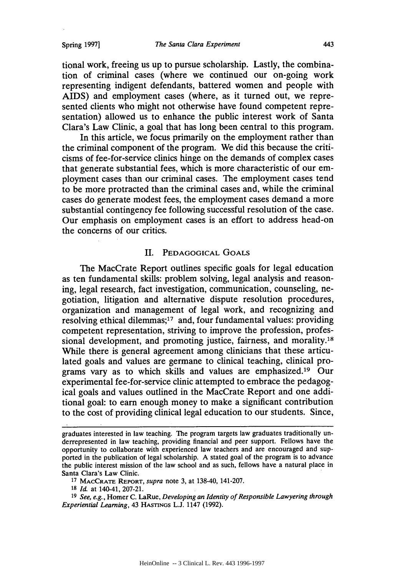Spring **19971**

tional work, freeing us up to pursue scholarship. Lastly, the combination of criminal cases (where we continued our on-going work representing indigent defendants, battered women and people with AIDS) and employment cases (where, as it turned out, we represented clients who might not otherwise have found competent representation) allowed us to enhance the public interest work of Santa Clara's Law Clinic, a goal that has long been central to this program.

In this article, we focus primarily on the employment rather than the criminal component of the program. We did this because the criticisms of fee-for-service clinics hinge on the demands of complex cases that generate substantial fees, which is more characteristic of our employment cases than our criminal cases. The employment cases tend to be more protracted than the criminal cases and, while the criminal cases do generate modest fees, the employment cases demand a more substantial contingency fee following successful resolution of the case. Our emphasis on employment cases is an effort to address head-on the concerns of our critics.

#### II. PEDAGOGICAL GOALS

The MacCrate Report outlines specific goals for legal education as ten fundamental skills: problem solving, legal analysis and reasoning, legal research, fact investigation, communication, counseling, negotiation, litigation and alternative dispute resolution procedures, organization and management of legal work, and recognizing and resolving ethical dilemmas;<sup>17</sup> and, four fundamental values: providing competent representation, striving to improve the profession, professional development, and promoting justice, fairness, and morality.<sup>18</sup> While there is general agreement among clinicians that these articulated goals and values are germane to clinical teaching, clinical programs vary as to which skills and values are emphasized.<sup>19</sup> Our experimental fee-for-service clinic attempted to embrace the pedagogical goals and values outlined in the MacCrate Report and one additional goal: to earn enough money to make a significant contribution to the cost of providing clinical legal education to our students. Since,

**<sup>17</sup>**MACCRATE **REPORT,** *supra* note 3, at 138-40, 141-207.

graduates interested in law teaching. The program targets law graduates traditionally underrepresented in law teaching, providing financial and peer support. Fellows have the opportunity to collaborate with experienced law teachers and are encouraged and supported in the publication of legal scholarship. A stated goal of the program is to advance the public interest mission of the law school and as such, fellows have a natural place in Santa Clara's Law Clinic.

**<sup>18</sup>***Id.* at 140-41, 207-21.

**<sup>19</sup>***See, e.g.,* Homer C. LaRue, *Developing an Identity of Responsible Lawyering through Experiential Learning,* 43 HASTINGs L.J. 1147 (1992).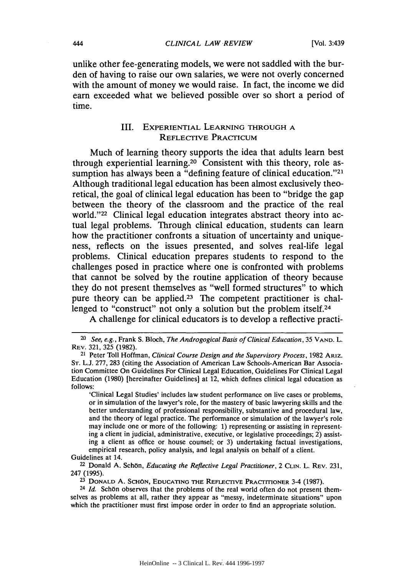unlike other fee-generating models, we were not saddled with the burden of having to raise our own salaries, we were not overly concerned with the amount of money we would raise. In fact, the income we did earn exceeded what we believed possible over so short a period of time.

# III. EXPERIENTIAL **LEARNING** THROUGH **A REFLECTIVE** PRACTICUM

Much of learning theory supports the idea that adults learn best through experiential learning.20 Consistent with this theory, role assumption has always been a "defining feature of clinical education."<sup>21</sup> Although traditional legal education has been almost exclusively theoretical, the goal of clinical legal education has been to "bridge the gap between the theory of the classroom and the practice of the real world."<sup>22</sup> Clinical legal education integrates abstract theory into actual legal problems. Through clinical education, students can learn how the practitioner confronts a situation of uncertainty and uniqueness, reflects on the issues presented, and solves real-life legal problems. Clinical education prepares students to respond to the challenges posed in practice where one is confronted with problems that cannot be solved **by** the routine application of theory because they do not present themselves as "well formed structures" to which pure theory can be applied.<sup>23</sup> The competent practitioner is challenged to "construct" not only a solution but the problem itself.<sup>24</sup>

A challenge for clinical educators is to develop a reflective practi-

'Clinical Legal Studies' includes law student performance on live cases or problems, or in simulation of the lawyer's role, for the mastery of basic lawyering skills and the better understanding of professional responsibility, substantive and procedural law, and the theory of legal practice. The performance or simulation of the lawyer's role may include one or more of the following: 1) representing or assisting in representing a client in judicial, administrative, executive, or legislative proceedings; 2) assisting a client as office or house counsel; or 3) undertaking factual investigations, empirical research, policy analysis, and legal analysis on behalf of a client. Guidelines at 14.

22 Donald A. Schon, *Educating the Reflective Legal Practitioner,* 2 **CLIN.** L. REv. 231, 247 (1995).

*<sup>20</sup>*See, e.g., Frank S. Bloch, *The Androgogical Basis of Clinical Education,* 35 **VAND.** L. REV. 321, 325 (1982).

<sup>21</sup> Peter Toll Hoffman, *Clinical Course Design and the Supervisory Process,* 1982 **ARIz.** ST. L.J. 277, 283 (citing the Association of American Law Schools-American Bar Association Committee On Guidelines For Clinical Legal Education, Guidelines For Clinical Legal Education (1980) [hereinafter Guidelines] at 12, which defines clinical legal education as follows:

**<sup>23</sup> DONALD** A. SCHON, **EDUCATING** THE REFLECTIVE PRACTITIONER 3-4 (1987).

**<sup>24</sup>** *Id.* Schbn observes that the problems of the real world often do not present themselves as problems at all, rather they appear as "messy, indeterminate situations" upon which the practitioner must first impose order in order to find an appropriate solution.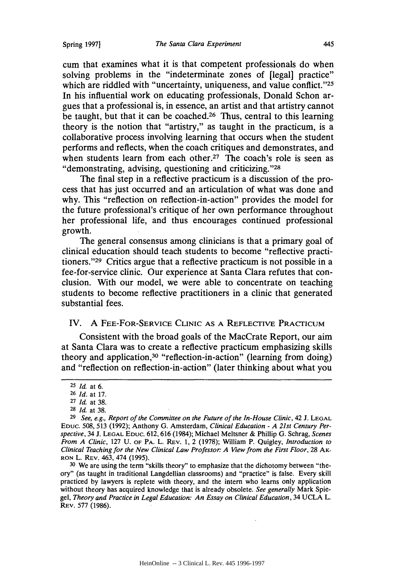cum that examines what it is that competent professionals do when solving problems in the "indeterminate zones of [legal] practice" which are riddled with "uncertainty, uniqueness, and value conflict."25 In his influential work on educating professionals, Donald Schon argues that a professional is, in essence, an artist and that artistry cannot be taught, but that it can be coached.<sup>26</sup> Thus, central to this learning theory is the notion that "artistry," as taught in the practicum, is a collaborative process involving learning that occurs when the student performs and reflects, when the coach critiques and demonstrates, and when students learn from each other.<sup>27</sup> The coach's role is seen as "demonstrating, advising, questioning and criticizing. **"28**

The final step in a reflective practicum is a discussion of the process that has just occurred and an articulation of what was done and why. This "reflection on reflection-in-action" provides the model for the future professional's critique of her own performance throughout her professional life, and thus encourages continued professional growth.

The general consensus among clinicians is that a primary goal of clinical education should teach students to become "reflective practitioners."<sup>29</sup> Critics argue that a reflective practicum is not possible in a fee-for-service clinic. Our experience at Santa Clara refutes that conclusion. With our model, we were able to concentrate on teaching students to become reflective practitioners in a clinic that generated substantial fees.

#### IV. A **FEE-FOR-SERVICE CLINIC AS** A REFLECTIVE PRACTICUM

Consistent with the broad goals of the MacCrate Report, our aim at Santa Clara was to create a reflective practicum emphasizing skills theory and application,<sup>30</sup> "reflection-in-action" (learning from doing) and "reflection on reflection-in-action" (later thinking about what you

**30** We are using the term "skills theory" to emphasize that the dichotomy between "theory" (as taught in traditional Langdellian classrooms) and "practice" is false. Every skill practiced by lawyers is replete with theory, and the intern who learns only application without theory has acquired knowledge that is already obsolete. *See generally* Mark Spiegel, *Theory and Practice in Legal Education: An Essay on Clinical Education,* 34 UCLA L. REV. 577 (1986).

**<sup>25</sup>***Id.* at 6.

**<sup>26</sup>** *Id.* at 17.

**<sup>27</sup>** *Id.* at 38.

**<sup>28</sup>***Id.* at 38.

**<sup>29</sup>***See, e.g., Report of the Committee on the Future of the In-House Clinic,* 42 J. **LEGAL EDuc.** 508, 513 (1992); Anthony G. Amsterdam, *Clinical Education* - *A 21st Century Perspective,* 34 **J. LEGAL EDUC.** 612, 616 (1984); Michael Meltsner & Phillip G. Schrag, *Scenes From A Clinic,* 127 U. OF PA. L. REv. 1, 2 (1978); William P. Quigley, *Introduction to* Clinical Teaching for the New Clinical Law Professor: A View from the First Floor, 28 Ak-RON L. REv. 463, 474 (1995).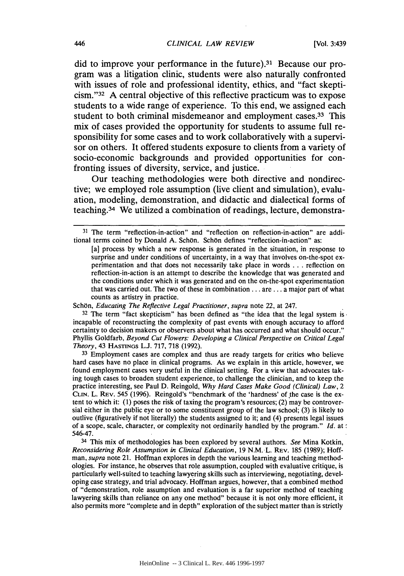did to improve your performance in the future).3' Because our program was a litigation clinic, students were also naturally confronted with issues of role and professional identity, ethics, and "fact skepticism."<sup>32</sup> A central objective of this reflective practicum was to expose students to a wide range of experience. To this end, we assigned each student to both criminal misdemeanor and employment cases.33 **This** mix of cases provided the opportunity for students to assume full responsibility for some cases and to work collaboratively with a supervisor on others. It offered students exposure to clients from a variety of socio-economic backgrounds and provided opportunities for confronting issues of diversity, service, and justice.

Our teaching methodologies were both directive and nondirective; we employed role assumption (live client and simulation), evaluation, modeling, demonstration, and didactic and dialectical forms of teaching.34 We utilized a combination of readings, lecture, demonstra-

Schön, *Educating The Reflective Legal Practitioner*, supra note 22, at 247.

**<sup>32</sup>**The term "fact skepticism" has been defined as "the idea that the legal system is. incapable of reconstructing the complexity of past events with enough accuracy to afford certainty to decision makers or observers about what has occurred and what should occur." Phyllis Goldfarb, *Beyond Cut Flowers: Developing a Clinical Perspective on Critical Legal Theory,* 43 HASTINGS L.J. 717, 718 (1992).

**<sup>33</sup>**Employment cases are complex and thus are ready targets for critics who believe hard cases have no place in clinical programs. As we explain in this article, however, we found employment cases very useful in the clinical setting. For a view that advocates taking tough cases to broaden student experience, to challenge the clinician, and to keep the practice interesting, see Paul D. Reingold, *Why Hard Cases Make Good (Clinical) Law, 2* **CLIN.** L. REv. 545 (1996). Reingold's "benchmark of the 'hardness' of.the case is the extent to which it: (1) poses the risk of taxing the program's resources; (2) may be controversial either in the public eye or to some constituent group of the law school; (3) is likely to outlive (figuratively if not literally) the students assigned to it; and (4) presents legal issues of a scope, scale, character, or complexity not ordinarily handled by the program." *Id.* at 546-47.

34 This mix of methodologies has been explored by several authors. *See* Mina Kotkin, *Reconsidering Role Assumption in Clinical Education,* 19 N.M. L. REv. 185 (1989); Hoffman, *supra* note 21. Hoffman explores in depth the various learning and teaching methodologies. For instance, he observes that role assumption, coupled with evaluative critique, is particularly well-suited to teaching lawyering skills such as interviewing, negotiating, developing case strategy, and trial advocacy. Hoffman argues, however, that a combined method of "demonstration, role assumption and evaluation is a far superior method of teaching lawyering skills than reliance on any one method" because it is not only more efficient, it also permits more "complete and in depth" exploration of the subject matter than is strictly

**<sup>31</sup>** The term "reflection-in-action" and "reflection on reflection-in-action" are additional terms coined by Donald A. Schön. Schön defines "reflection-in-action" as:

<sup>[</sup>a] process by which a new response is generated in the situation, in response to surprise and under conditions of uncertainty, in a way that involves on-the-spot experimentation and that does not necessarily take place in words **. . .** reflection on reflection-in-action is an attempt to describe the knowledge that was generated and the conditions under which it was generated and on the on-the-spot experimentation that was carried out. The two of these in combination **...** are **...** a major part of what counts as artistry in practice.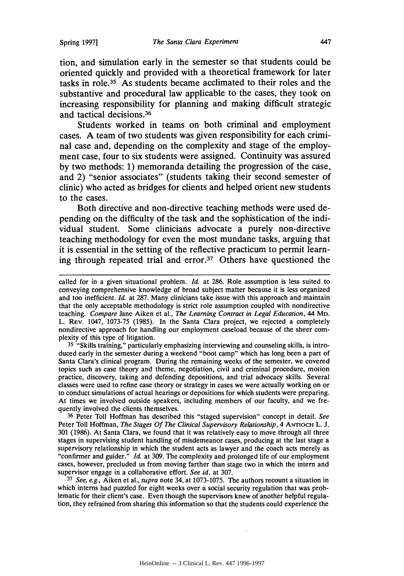tion, and simulation early in the semester so that students could be oriented quickly and provided with a theoretical framework for later tasks in role.35 As students became acclimated to their roles and the substantive and procedural law applicable to the cases, they took on increasing responsibility for planning and making difficult strategic and tactical decisions. <sup>36</sup>

Students worked in teams on both criminal and employment cases. **A** team of two students was given responsibility for each criminal case and, depending on the complexity and stage of the employment case, four to six students were assigned. Continuity was assured **by** two methods: **1)** memoranda detailing the progression of the case, and 2) "senior associates" (students taking their second semester of clinic) who acted as bridges for clients and helped orient new students to the cases.

Both directive and non-directive teaching methods were used depending on the difficulty of the task and the sophistication of the individual student. Some clinicians advocate a purely non-directive teaching methodology for even the most mundane tasks, arguing that it is essential in the setting of the reflective practicum to permit learning through repeated trial and error.37 Others have questioned the

**35** "Skills training," particularly emphasizing interviewing and counseling skills, is introduced early in the semester during a weekend "boot camp" which has long been a part of Santa Clara's clinical program. During the remaining weeks of the semester, we covered topics such as case theory and theme, negotiation, civil and criminal procedure, motion practice, discovery, taking and defending depositions, and trial advocacy skills. Several classes were used to refine case theory or strategy in cases we were actually working on or to conduct simulations of actual hearings or depositions for which students were preparing. At times we involved outside speakers, including members of our faculty, and we frequently involved the clients themselves.

**36** Peter Toll Hoffman has described this "staged supervision" concept in detail. *See* Peter Toll Hoffman, *The Stages Of The Clinical Supervisory Relationship*, 4 ANTIOCH L. J. 301 (1986). At Santa Clara, we found that it was relatively easy to move through all three stages in supervising student handling of misdemeanor cases, producing at the last stage a supervisory relationship in which the student acts as lawyer and the coach acts merely as "confirmer and guider." *Id.* at 309. The complexity and prolonged life of our employment cases, however, precluded us from moving farther than stage two in which the intern and supervisor engage in a collaborative effort. *See id.* at 307.

**.37** *See, e.g.,* Aiken et al., *supra* note 34, at 1073-1075. The authors recount a situation in which interns had puzzled for eight weeks over a social security regulation that was problematic for their client's case. Even though the supervisors knew of another helpful regulation, they refrained from sharing this information so that the students could experience the

called for in a given situational problem. *Id.* at 286. Role assumption is less suited to conveying comprehensive knowledge of broad subject matter because it is less organized and too inefficient. *Id.* at 287. Many clinicians take issue with this approach and maintain that the only acceptable methodology is strict role assumption coupled with nondirective teaching. *Compare* Jane Aiken et al., *The Learning Contract in Legal Education,* 44 MD. L. REv. 1047, 1073-75 (1985). In the Santa Clara project, we rejected a completely nondirective approach for handling our employment caseload because of the sheer complexity of this type of litigation.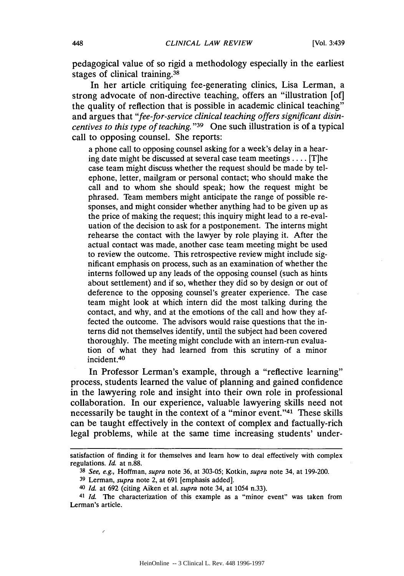pedagogical value of so rigid a methodology especially in the earliest stages of clinical training.<sup>38</sup>

In her article critiquing fee-generating clinics, Lisa Lerman, a strong advocate of non-directive teaching, offers an "illustration [of] the quality of reflection that is possible in academic clinical teaching" and argues that *"fee-for-service clinical teaching offers significant disincentives to this type of teaching.* "<sup>39</sup> One such illustration is of a typical call to opposing counsel. She reports:

a phone call to opposing counsel asking for a week's delay in a hearing date might be discussed at several case team meetings .... [T]he case team might discuss whether the request should be made by telephone, letter, mailgram or personal contact; who should make the call and to whom she should speak; how the request might be phrased. Team members might anticipate the range of possible responses, and might consider whether anything had to be given up as the price of making the request; this inquiry might lead to a re-evaluation of the decision to ask for a postponement. The interns might rehearse the contact with the lawyer by role playing it. After the actual contact was made, another case team meeting might be used to review the outcome. This retrospective review might include significant emphasis on process, such as an examination of whether the interns followed up any leads of the opposing counsel (such as hints about settlement) and if so, whether they did so by design or out of deference to the opposing counsel's greater experience. The case team might look at which intern did the most talking during the contact, and why, and at the emotions of the call and how they affected the outcome. The advisors would raise questions that the interns did not themselves identify, until the subject had been covered thoroughly. The meeting might conclude with an intern-run evaluation of what they had learned from this scrutiny of a minor incident. <sup>40</sup>

In Professor Lerman's example, through a "reflective learning" process, students learned the value of planning and gained confidence in the lawyering role and insight into their own role in professional collaboration. In our experience, valuable lawyering skills need not necessarily be taught in the context of a "minor event."<sup>41</sup> These skills can be taught effectively in the context of complex and factually-rich legal problems, while at the same time increasing students' under-

è

satisfaction of finding it for themselves and learn how to deal effectively with complex regulations. *Id.* at n.88.

<sup>38</sup>*See, e.g.,* Hoffman, *supra* note 36, at 303-05; Kotkin, *supra* note 34, at 199-200.

<sup>39</sup> Lerman, *supra* note 2, at 691 [emphasis added].

<sup>40</sup>*Id.* at 692 (citing Aiken et al. *supra* note 34, at 1054 n.33).

<sup>41</sup>*Id.* The characterization of this example as a "minor event" was taken from Lerman's article.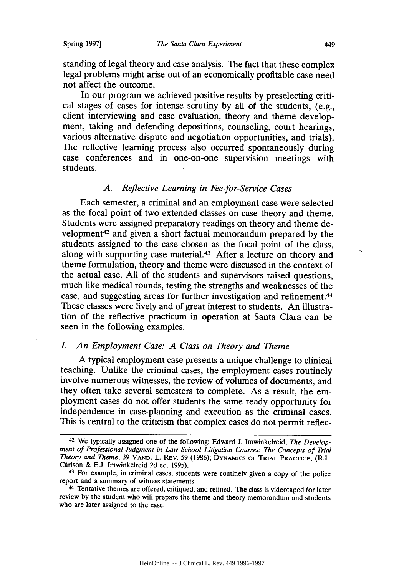standing of legal theory and case analysis. The fact that these complex legal problems might arise out of an economically profitable case need not affect the outcome.

In our program we achieved positive results by preselecting critical stages of cases for intense scrutiny by all of the students, (e.g., client interviewing and case evaluation, theory and theme development, taking and defending depositions, counseling, court hearings, various alternative dispute and negotiation opportunities, and trials). The reflective learning process also occurred spontaneously during case conferences and in one-on-one supervision meetings with students.

#### *A. Reflective Learning in Fee-for-Service Cases*

Each semester, a criminal and an employment case were selected as the focal point of two extended classes on case theory and theme. Students were assigned preparatory readings on theory and theme development<sup>42</sup> and given a short factual memorandum prepared by the students assigned to the case chosen as the focal point of the class, along with supporting case material.<sup>43</sup> After a lecture on theory and theme formulation, theory and theme were discussed in the context of the actual case. All of the students and supervisors raised questions, much like medical rounds, testing the strengths and weaknesses of the case, and suggesting areas for further investigation and refinement.<sup>44</sup> These classes were lively and of great interest to students. An illustration of the reflective practicum in operation at Santa Clara can be seen in the following examples.

#### *1. An Employment Case: A Class on Theory and Theme*

A typical employment case presents a unique challenge to clinical teaching. Unlike the criminal cases, the employment cases routinely involve numerous witnesses, the review of volumes of documents, and they often take several semesters to complete. As a result, the employment cases do not offer students the same ready opportunity for independence in case-planning and execution as the criminal cases. This is central to the criticism that complex cases do not permit reflec-

<sup>42</sup> We typically assigned one of the following: Edward J. Imwinkelreid, *The Development of Professional Judgment in Law School Litigation Courses: The Concepts of Trial Theory and Theme,* 39 **VAND.** L. REV. 59 (1986); **DYNAMICS OF** TRIAL PRACICE, (R.L. Carlson & E.J. Imwinkelreid 2d ed. 1995).

<sup>43</sup> For example, in criminal cases, students were routinely given a copy of the police report and a summary of witness statements.

<sup>44</sup> Tentative themes are offered, critiqued, and refined. The class is videotaped for later review by the student who will prepare the theme and theory memorandum and students who are later assigned to the case.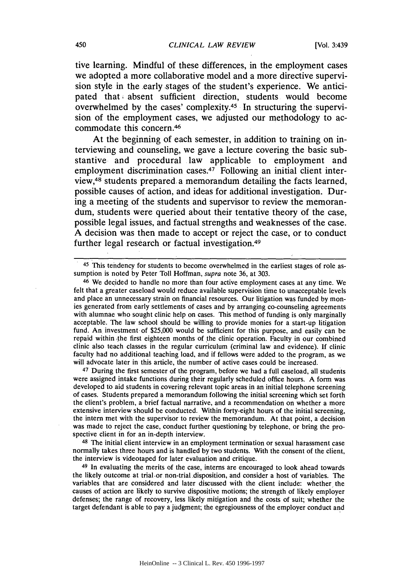tive learning. Mindful of these differences, in the employment cases we adopted a more collaborative model and a more directive supervision style in the early stages of the student's experience. We anticipated that absent sufficient direction, students would become overwhelmed by the cases' complexity.<sup>45</sup> In structuring the supervision of the employment cases, we adjusted our methodology to accommodate this concern.<sup>46</sup>

At the beginning of each semester, in addition to training on interviewing and counseling, we gave a lecture covering the basic substantive and procedural law applicable to employment and employment discrimination cases.<sup>47</sup> Following an initial client interview,48 students prepared a memorandum detailing the facts learned, possible causes of action, and ideas for additional investigation. During a meeting of the students and supervisor to review the memorandum, students were queried about their tentative theory of the case, possible legal issues, and factual strengths and weaknesses of the case. **A** decision was then made to accept or reject the case, or to conduct further legal research or factual investigation.<sup>49</sup>

46 We decided to handle no more than four active employment cases at any time. We felt that a greater caseload would reduce available supervision time to unacceptable levels and place an unnecessary strain on financial resources. Our litigation was funded by monies generated from early settlements of cases and by arranging co-counseling agreements with alumnae who sought clinic help on cases. This method of funding is only marginally acceptable. The law school should be willing to provide monies for a start-up litigation fund. An investment of \$25,000 would be sufficient for this purpose, and easily can be repaid within the first eighteen months of the clinic operation. Faculty in our combined clinic also teach classes in the regular curriculum (criminal law and evidence). If clinic faculty had no additional teaching load, and if fellows were added to the program, as we will advocate later in this article, the number of active cases could be increased.

47 During the first semester of the program, before we had a full caseload, all students were assigned intake functions during their regularly scheduled office hours. A form was developed to aid students in covering relevant topic areas in an initial telephone screening of cases. Students prepared a memorandum following the initial screening which set forth the client's problem, a brief factual narrative, and a recommendation on whether a more extensive interview should be conducted. Within forty-eight hours of the initial screening, the intern met with the supervisor to review the memorandum. At that point, a decision was made to reject the case, conduct further questioning by telephone, or bring the prospective client in for an in-depth interview.

48 The initial client interview in an employment termination or sexual harassment case normally takes three hours and is handled by two students. With the consent of the client, the interview is videotaped for later evaluation and critique.

49 In evaluating the merits of the case, interns are encouraged to look ahead towards the likely outcome at trial or non-trial disposition, and consider a host of variables. The variables that are considered and later discussed with the client include: whether the causes of action are likely to survive dispositive motions; the strength of likely employer defenses; the range of recovery, less likely mitigation and the costs of suit; whether the target defendant is able to pay a judgment; the egregiousness of the employer conduct and

<sup>45</sup> This tendency for students to become overwhelmed in the earliest stages of role assumption is noted by Peter Toll Hoffman, *supra* note 36, at 303.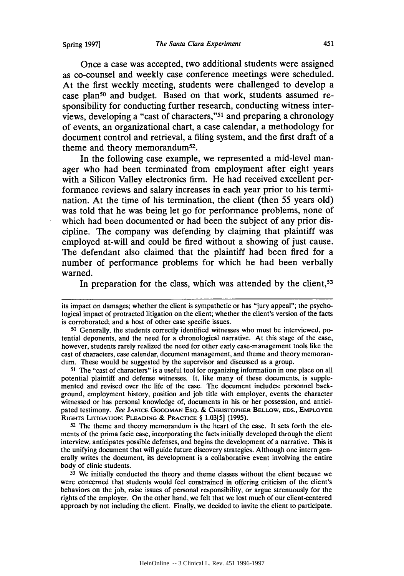Once a case was accepted, two additional students were assigned as co-counsel and weekly case conference meetings were scheduled. At the first weekly meeting, students were challenged to develop a case plan<sup>50</sup> and budget. Based on that work, students assumed responsibility for conducting further research, conducting witness interviews, developing a "cast of characters,"<sup>51</sup> and preparing a chronology of events, an organizational chart, a case calendar, a methodology for document control and retrieval, a filing system, and the first draft of a theme and theory memorandum<sup>52</sup>.

In the following case example, we represented a mid-level manager who had been terminated from employment after eight years with a Silicon Valley electronics firm. He had received excellent performance reviews and salary increases in each year prior to his termination. At the time of his termination, the client (then **55** years old) was told that he was being let go for performance problems, none of which had been documented or had been the subject of any prior discipline. **The** company was defending **by** claiming that plaintiff was employed at-will and could be fired without a showing of just cause. The defendant also claimed that the plaintiff had been fired for a number of performance problems for which he had been verbally warned.

In preparation for the class, which was attended by the client,<sup>53</sup>

**<sup>51</sup>**The "cast of characters" is a useful tool for organizing information in one place on all potential plaintiff and defense witnesses. It, like many of these documents, is supplemented and revised over the life of the case. The document includes: personnel background, employment history, position and job title with employer, events the character witnessed or has personal knowledge of, documents in his or her possession, and anticipated testimony. *See* **JANICE GOODMAN ESQ.** & CHRISTOPHER **BELLOW, EDS., EMPLOYEE** RIGHTS LITIGATION: **PLEADING** *&* PRACTICE § 1.03[5] (1995).

**52** The theme and theory memorandum is the heart of the case. It sets forth the elements of the prima facie case, incorporating the facts initially developed through the client interview, anticipates possible defenses, and begins the development of a narrative. This is the unifying document that will guide future discovery strategies. Although one intern generally writes the document, its development is a collaborative event involving the entire body of clinic students.

**<sup>53</sup>**We initially conducted the theory and theme classes without the client because we were concerned that students would feel constrained in offering criticism of the client's behaviors on the job, raise issues of personal responsibility, or argue strenuously for the rights of the employer. On the other hand, we felt that we lost much of our client-centered approach by not including the client. Finally, we decided to invite the client to participate.

its impact on damages; whether the client is sympathetic or has "jury appeal"; the psychological impact of protracted litigation on the client; whether the client's version of the facts is corroborated; and a host of other case specific issues.

**<sup>50</sup>** Generally, the students correctly identified witnesses who must be interviewed, **po**tential deponents, and the need for a chronological narrative. At this stage of the case, however, students rarely realized the need for other early case-management tools like the cast of characters, case calendar, document management, and theme and theory memorandum. These would be suggested by the supervisor and discussed as a group.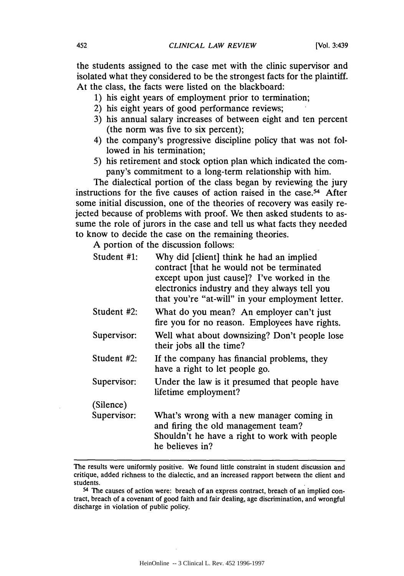the students assigned to the case met with the clinic supervisor and isolated what they considered to be the strongest facts for the plaintiff. At the class, the facts were listed on the blackboard:

- 1) his eight years of employment prior to termination;
- 2) his eight years of good performance reviews;
- 3) his annual salary increases of between eight and ten percent (the norm was five to six percent);
- 4) the company's progressive discipline policy that was not followed in his termination;
- 5) his retirement and stock option plan which indicated the company's commitment to a long-term relationship with him.

The dialectical portion of the class began by reviewing the jury instructions for the five causes of action raised in the case.<sup>54</sup> After some initial discussion, one of the theories of recovery was easily rejected because of problems with proof. We then asked students to assume the role of jurors in the case and tell us what facts they needed to know to decide the case on the remaining theories.

A portion of the discussion follows:

| Student #1: | Why did [client] think he had an implied<br>contract [that he would not be terminated<br>except upon just cause]? I've worked in the<br>electronics industry and they always tell you<br>that you're "at-will" in your employment letter. |
|-------------|-------------------------------------------------------------------------------------------------------------------------------------------------------------------------------------------------------------------------------------------|
| Student #2: | What do you mean? An employer can't just<br>fire you for no reason. Employees have rights.                                                                                                                                                |
| Supervisor: | Well what about downsizing? Don't people lose<br>their jobs all the time?                                                                                                                                                                 |
| Student #2: | If the company has financial problems, they<br>have a right to let people go.                                                                                                                                                             |
| Supervisor: | Under the law is it presumed that people have<br>lifetime employment?                                                                                                                                                                     |
| (Silence)   |                                                                                                                                                                                                                                           |
| Supervisor: | What's wrong with a new manager coming in<br>and firing the old management team?<br>Shouldn't he have a right to work with people<br>he believes in?                                                                                      |

The results were uniformly positive. We found little constraint in student discussion and critique, added richness to the dialectic, and an increased rapport between the client and students.

<sup>54</sup> The causes of action were: breach of an express contract, breach of an implied contract, breach of a covenant of good faith and fair dealing, age discrimination, and wrongful discharge in violation of public policy.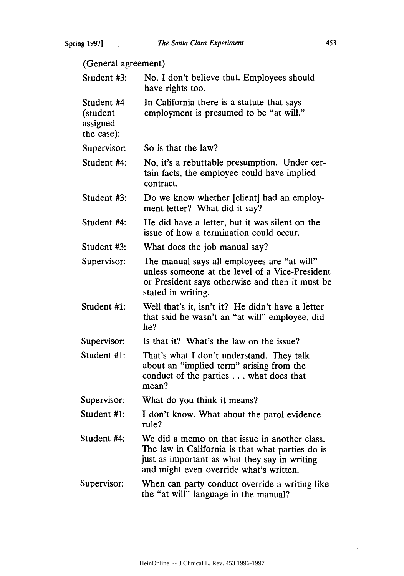(General agreement) Student #3: Student #4 (student assigned the case): Supervisor: Student #4: Student #3: Student #4: Student #3: Supervisor: Student #1: Supervisor: Student #1: Supervisor: Student #1: Student #4: Supervisor: No. I don't believe that. Employees should have rights too. In California there is a statute that says employment is presumed to be "at will." So is that the law? No, it's a rebuttable presumption. Under certain facts, the employee could have implied contract. Do we know whether [client] had an employment letter? What did it say? He did have a letter, but it was silent on the issue of how a termination could occur. What does the job manual say? The manual says all employees are "at will" unless someone at the level of a Vice-President or President says otherwise and then it must be stated in writing. Well that's it, isn't it? He didn't have a letter that said he wasn't an "at will" employee, did he? Is that it? What's the law on the issue? That's what I don't understand. They talk about an "implied term" arising from the conduct of the parties **...** what does that mean? What do you think it means? I don't know. What about the parol evidence rule? We did a memo on that issue in another class. The law in California is that what parties do is just as important as what they say in writing and might even override what's written. When can party conduct override a writing like the "at will" language in the manual?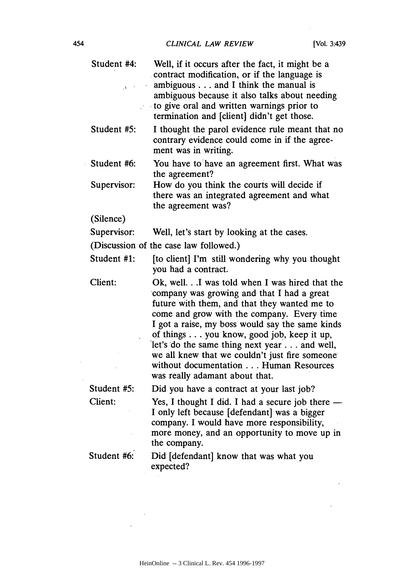$\bar{1}$ 

| Student #4: | Well, if it occurs after the fact, it might be a<br>contract modification, or if the language is<br>ambiguous and I think the manual is<br>ambiguous because it also talks about needing<br>to give oral and written warnings prior to<br>termination and [client] didn't get those.                                                                                                                                                                                  |
|-------------|-----------------------------------------------------------------------------------------------------------------------------------------------------------------------------------------------------------------------------------------------------------------------------------------------------------------------------------------------------------------------------------------------------------------------------------------------------------------------|
| Student #5: | I thought the parol evidence rule meant that no<br>contrary evidence could come in if the agree-<br>ment was in writing.                                                                                                                                                                                                                                                                                                                                              |
| Student #6: | You have to have an agreement first. What was<br>the agreement?                                                                                                                                                                                                                                                                                                                                                                                                       |
| Supervisor: | How do you think the courts will decide if<br>there was an integrated agreement and what<br>the agreement was?                                                                                                                                                                                                                                                                                                                                                        |
| (Silence)   |                                                                                                                                                                                                                                                                                                                                                                                                                                                                       |
| Supervisor: | Well, let's start by looking at the cases.                                                                                                                                                                                                                                                                                                                                                                                                                            |
|             | (Discussion of the case law followed.)                                                                                                                                                                                                                                                                                                                                                                                                                                |
| Student #1: | [to client] I'm still wondering why you thought<br>you had a contract.                                                                                                                                                                                                                                                                                                                                                                                                |
| Client:     | Ok, well.I was told when I was hired that the<br>company was growing and that I had a great<br>future with them, and that they wanted me to<br>come and grow with the company. Every time<br>I got a raise, my boss would say the same kinds<br>of things you know, good job, keep it up,<br>let's do the same thing next year and well,<br>we all knew that we couldn't just fire someone<br>without documentation Human Resources<br>was really adamant about that. |
| Student #5: | Did you have a contract at your last job?                                                                                                                                                                                                                                                                                                                                                                                                                             |
| Client:     | Yes, I thought I did. I had a secure job there<br>I only left because [defendant] was a bigger<br>company. I would have more responsibility,<br>more money, and an opportunity to move up in<br>the company.                                                                                                                                                                                                                                                          |
| Student #6: | Did [defendant] know that was what you<br>expected?                                                                                                                                                                                                                                                                                                                                                                                                                   |
|             |                                                                                                                                                                                                                                                                                                                                                                                                                                                                       |

 $\bar{a}$ 

 $\sim$   $\sim$ 

 $\ddot{\phantom{a}}$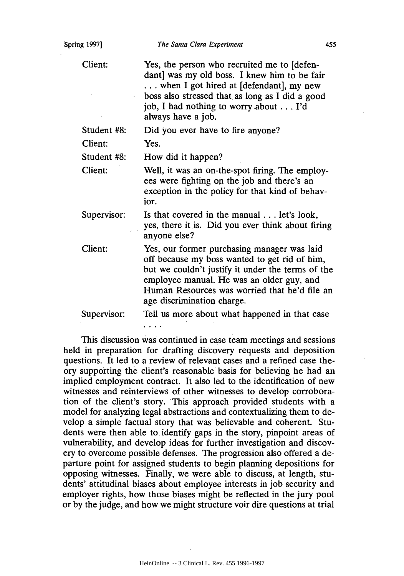Client:

Yes, the person who recruited me to [defendant] was my old boss. I knew him to be fair **...** when I got hired at [defendant], my new boss also stressed that as long as I did a good job, I had nothing to worryabout **...** I'd always have a job.

Student #8: Did you ever have to fire anyone?

Client: Yes.

Student #8: How did it happen?

Client: Well, it was an on-the-spot firing. The employees were fighting on the job and there's an exception in the policy for that kind of behavior.

Supervisor: Is that covered in the manual **...** let's look, yes, there it is. Did you ever think about firing anyone else?

Client: Yes, our former purchasing manager was laid off because my boss wanted to get rid of him, but we couldn't justify it under the terms of the employee manual. He was an older guy, and Human Resources was worried that he'd file an age discrimination charge.

Supervisor: Tell us more about what happened in that case and and

This discussion was continued in case team meetings and sessions held in preparation for drafting. discovery requests and deposition questions. It led to a review of relevant cases and a refined case theory supporting the client's reasonable basis for believing he had an implied employment contract. It also led to the identification of new witnesses and reinterviews of other witnesses to develop corroboration of the client's story. This approach provided students with a model for analyzing legal abstractions and contextualizing them to develop a simple factual story that was believable and coherent. Students were then able to identify gaps in the story, pinpoint areas of vulnerability, and develop ideas for further investigation and discovery to overcome possible defenses. The progression also offered a departure point for assigned students to begin planning depositions for opposing witnesses. Finally, we were able to discuss, at length, students' attitudinal biases about employee interests in job security and employer rights, how those biases might be reflected in the jury pool or by the judge, and how we might structure voir dire questions at trial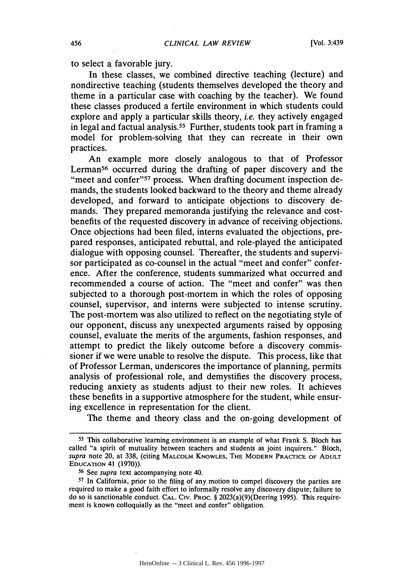to select a favorable jury.

In these classes, we combined directive teaching (lecture) and nondirective teaching (students themselves developed the theory and theme in a particular case with coaching by the teacher). We found these classes produced a fertile environment in which students could explore and apply a particular skills theory, *i.e.* they actively engaged in legal and factual analysis. 55 Further, students took part in framing a model for problem-solving that they can recreate in their own practices.

An example more closely analogous to that of Professor Lerman<sup>56</sup> occurred during the drafting of paper discovery and the "meet and confer"<sup>57</sup> process. When drafting document inspection demands, the students looked backward to the theory and theme already developed, and forward to anticipate objections to discovery demands. They prepared memoranda justifying the relevance and costbenefits of the requested discovery in advance of receiving objections. Once objections had been filed, interns evaluated the objections, prepared responses, anticipated rebuttal, and role-played the anticipated dialogue with opposing counsel. Thereafter, the students and supervisor participated as co-counsel in the actual "meet and confer" conference. After the conference, students summarized what occurred and recommended a course of action. The "meet and confer" was then subjected to a thorough post-mortem in which the roles of opposing counsel, supervisor, and interns were subjected to intense scrutiny. The post-mortem was also utilized to reflect on the negotiating style of our opponent, discuss any unexpected arguments raised by opposing counsel, evaluate the merits of the arguments, fashion responses, and attempt to predict the likely outcome before a discovery commissioner if we were unable to resolve the dispute. This process, like that of Professor Lerman, underscores the importance of planning, permits analysis of professional role, and demystifies the discovery process, reducing anxiety as students adjust to their new roles. It achieves these benefits in a supportive atmosphere for the student, while ensuring excellence in representation for the client.

The theme and theory class and the on-going development of

**<sup>55</sup>**This collaborative learning environment is an example of what Frank S. Bloch has called "a spirit of mutuality between teachers and students as joint inquirers." Bloch, *supra* note 20, at 338, (citing **MALCOLM** KNOWLES, **THE MODERN PRACTICE** OF **ADULT** EDUCATION 41 (1970)).

**<sup>56</sup>**See *supra* text accompanying note 40.

**<sup>57</sup>**In California, prior to the filing of any motion to compel discovery the parties are required to make a good faith effort to informally resolve any discovery dispute; failure to do so is sanctionable conduct. **CAL.** CIV. PROC. § 2023(a)(9)(Deering 1995). This requirement is known colloquially as the "meet and confer" obligation.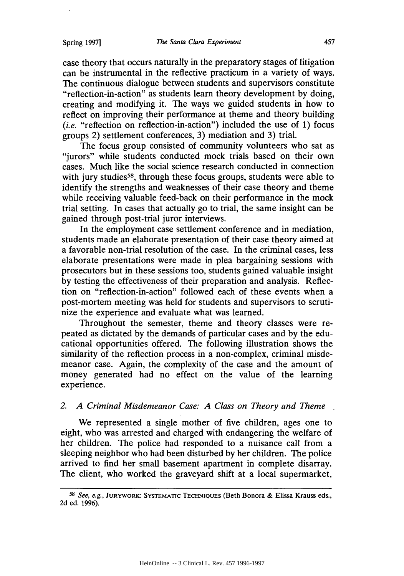case theory that occurs naturally in the preparatory stages of litigation can be instrumental in the reflective practicum in a variety of ways. The continuous dialogue between students and supervisors constitute "reflection-in-action" as students learn theory development by doing, creating and modifying it. The ways we guided students in how to reflect on improving their performance at theme and theory building *(i.e.* "reflection on reflection-in-action") included the use of **1)** focus groups 2) settlement conferences, 3) mediation and 3) trial.

The focus group consisted of community volunteers who sat as "jurors" while students conducted mock trials based on their own cases. Much like the social science research conducted in connection with jury studies<sup>58</sup>, through these focus groups, students were able to identify the strengths and weaknesses of their case theory and theme while receiving valuable feed-back on their performance in the mock trial setting. In cases that actually go to trial, the same insight can be gained through post-trial juror interviews.

In the employment case settlement conference and in mediation, students made an elaborate presentation of their case theory aimed at a favorable non-trial resolution of the case. In the criminal cases, less elaborate presentations were made in plea bargaining sessions with prosecutors but in these sessions too, students gained valuable insight by testing the effectiveness of their preparation and analysis. Reflection on "reflection-in-action" followed each of these events when a post-mortem meeting was held for students and supervisors to scrutinize the experience and evaluate what was learned.

Throughout the semester, theme and theory classes were repeated as dictated by the demands of particular cases and by the educational opportunities offered. The following illustration shows the similarity of the reflection process in a non-complex, criminal misdemeanor case. Again, the complexity of the case and the amount of money generated had no effect on the value of the learning experience.

# *2. A Criminal Misdemeanor Case: A Class on Theory and Theme*

We represented a single mother of five children, ages one to eight, who was arrested and charged with endangering the welfare of her children. The police had responded to a nuisance call from a sleeping neighbor who had been disturbed by her children. The police arrived to find her small basement apartment in complete disarray. The client, who worked the graveyard shift at a local supermarket,

**<sup>58</sup>***See, e.g.,* JURYWORK: **SYSTEMATIC TECHNIQUES** (Beth Bonora **&** Elissa Krauss eds., 2d ed. 1996).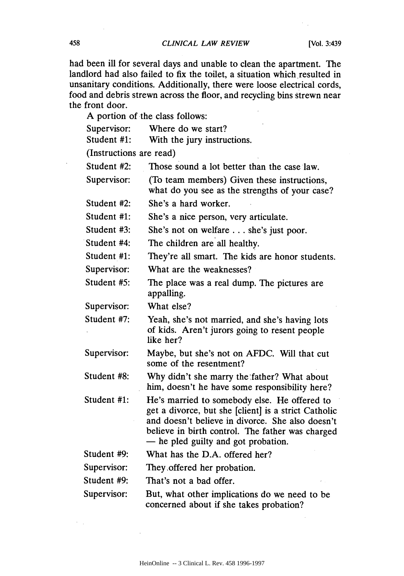had been ill for several days and unable to clean the apartment. The landlord had also failed to fix the toilet, a situation which resulted in unsanitary conditions. Additionally, there were loose electrical cords, food and debris strewn across the floor, and recycling bins strewn near the front door.

A portion of the class follows:

| Supervisor:             | Where do we start?                                                                                                                                                                                                                                  |  |  |  |
|-------------------------|-----------------------------------------------------------------------------------------------------------------------------------------------------------------------------------------------------------------------------------------------------|--|--|--|
| Student #1:             | With the jury instructions.                                                                                                                                                                                                                         |  |  |  |
| (Instructions are read) |                                                                                                                                                                                                                                                     |  |  |  |
| Student #2:             | Those sound a lot better than the case law.                                                                                                                                                                                                         |  |  |  |
| Supervisor:             | (To team members) Given these instructions,<br>what do you see as the strengths of your case?                                                                                                                                                       |  |  |  |
| Student #2:             | She's a hard worker.                                                                                                                                                                                                                                |  |  |  |
| Student #1:             | She's a nice person, very articulate.                                                                                                                                                                                                               |  |  |  |
| Student #3:             | She's not on welfare  she's just poor.                                                                                                                                                                                                              |  |  |  |
| Student #4:             | The children are all healthy.                                                                                                                                                                                                                       |  |  |  |
| Student #1:             | They're all smart. The kids are honor students.                                                                                                                                                                                                     |  |  |  |
| Supervisor:             | What are the weaknesses?                                                                                                                                                                                                                            |  |  |  |
| Student #5:             | The place was a real dump. The pictures are<br>appalling.                                                                                                                                                                                           |  |  |  |
| Supervisor:             | What else?                                                                                                                                                                                                                                          |  |  |  |
| Student #7:             | Yeah, she's not married, and she's having lots<br>of kids. Aren't jurors going to resent people<br>like her?                                                                                                                                        |  |  |  |
| Supervisor:             | Maybe, but she's not on AFDC. Will that cut<br>some of the resentment?                                                                                                                                                                              |  |  |  |
| Student #8:             | Why didn't she marry the father? What about<br>him, doesn't he have some responsibility here?                                                                                                                                                       |  |  |  |
| Student #1:             | He's married to somebody else. He offered to<br>get a divorce, but she [client] is a strict Catholic<br>and doesn't believe in divorce. She also doesn't<br>believe in birth control. The father was charged<br>- he pled guilty and got probation. |  |  |  |
| Student #9:             | What has the D.A. offered her?                                                                                                                                                                                                                      |  |  |  |
| Supervisor:             | They offered her probation.                                                                                                                                                                                                                         |  |  |  |
| Student #9:             | That's not a bad offer.                                                                                                                                                                                                                             |  |  |  |
| Supervisor:             | But, what other implications do we need to be<br>concerned about if she takes probation?                                                                                                                                                            |  |  |  |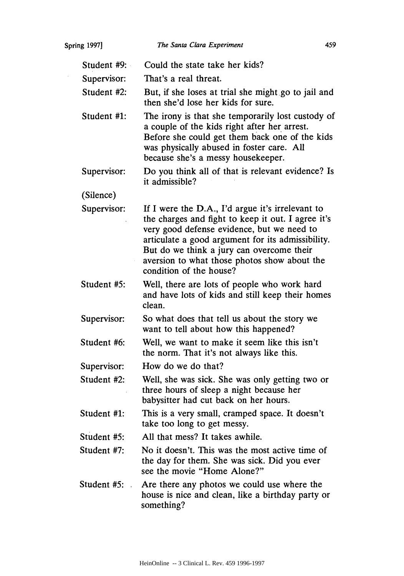| Spring 1997] |               | The Santa Clara Experiment                                                                                                                                                                                                                                                                                                        | 459 |
|--------------|---------------|-----------------------------------------------------------------------------------------------------------------------------------------------------------------------------------------------------------------------------------------------------------------------------------------------------------------------------------|-----|
|              | Student $#9:$ | Could the state take her kids?                                                                                                                                                                                                                                                                                                    |     |
|              | Supervisor:   | That's a real threat.                                                                                                                                                                                                                                                                                                             |     |
|              | Student #2:   | But, if she loses at trial she might go to jail and<br>then she'd lose her kids for sure.                                                                                                                                                                                                                                         |     |
|              | Student #1:   | The irony is that she temporarily lost custody of<br>a couple of the kids right after her arrest.<br>Before she could get them back one of the kids<br>was physically abused in foster care. All<br>because she's a messy housekeeper.                                                                                            |     |
|              | Supervisor:   | Do you think all of that is relevant evidence? Is<br>it admissible?                                                                                                                                                                                                                                                               |     |
|              | (Silence)     |                                                                                                                                                                                                                                                                                                                                   |     |
|              | Supervisor:   | If I were the D.A., I'd argue it's irrelevant to<br>the charges and fight to keep it out. I agree it's<br>very good defense evidence, but we need to<br>articulate a good argument for its admissibility.<br>But do we think a jury can overcome their<br>aversion to what those photos show about the<br>condition of the house? |     |
|              | Student #5:   | Well, there are lots of people who work hard<br>and have lots of kids and still keep their homes<br>clean.                                                                                                                                                                                                                        |     |
|              | Supervisor:   | So what does that tell us about the story we<br>want to tell about how this happened?                                                                                                                                                                                                                                             |     |
|              | Student #6:   | Well, we want to make it seem like this isn't<br>the norm. That it's not always like this.                                                                                                                                                                                                                                        |     |
|              | Supervisor:   | How do we do that?                                                                                                                                                                                                                                                                                                                |     |
|              | Student #2:   | Well, she was sick. She was only getting two or<br>three hours of sleep a night because her<br>babysitter had cut back on her hours.                                                                                                                                                                                              |     |
|              | Student #1:   | This is a very small, cramped space. It doesn't<br>take too long to get messy.                                                                                                                                                                                                                                                    |     |
|              | Student #5:   | All that mess? It takes awhile.                                                                                                                                                                                                                                                                                                   |     |
|              | Student #7:   | No it doesn't. This was the most active time of<br>the day for them. She was sick. Did you ever<br>see the movie "Home Alone?"                                                                                                                                                                                                    |     |
|              | Student #5:   | Are there any photos we could use where the<br>house is nice and clean, like a birthday party or<br>something?                                                                                                                                                                                                                    |     |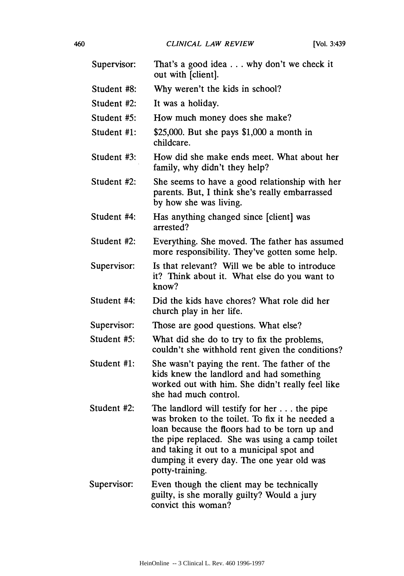| Supervisor: | That's a good idea why don't we check it<br>out with [client].                                                                                                                                                                                                                                                 |
|-------------|----------------------------------------------------------------------------------------------------------------------------------------------------------------------------------------------------------------------------------------------------------------------------------------------------------------|
| Student #8: | Why weren't the kids in school?                                                                                                                                                                                                                                                                                |
| Student #2: | It was a holiday.                                                                                                                                                                                                                                                                                              |
| Student #5: | How much money does she make?                                                                                                                                                                                                                                                                                  |
| Student #1: | \$25,000. But she pays $$1,000$ a month in<br>childcare.                                                                                                                                                                                                                                                       |
| Student #3: | How did she make ends meet. What about her<br>family, why didn't they help?                                                                                                                                                                                                                                    |
| Student #2: | She seems to have a good relationship with her<br>parents. But, I think she's really embarrassed<br>by how she was living.                                                                                                                                                                                     |
| Student #4: | Has anything changed since [client] was<br>arrested?                                                                                                                                                                                                                                                           |
| Student #2: | Everything. She moved. The father has assumed<br>more responsibility. They've gotten some help.                                                                                                                                                                                                                |
| Supervisor: | Is that relevant? Will we be able to introduce<br>it? Think about it. What else do you want to<br>know?                                                                                                                                                                                                        |
| Student #4: | Did the kids have chores? What role did her<br>church play in her life.                                                                                                                                                                                                                                        |
| Supervisor: | Those are good questions. What else?                                                                                                                                                                                                                                                                           |
| Student #5: | What did she do to try to fix the problems,<br>couldn't she withhold rent given the conditions?                                                                                                                                                                                                                |
| Student #1: | She wasn't paying the rent. The father of the<br>kids knew the landlord and had something<br>worked out with him. She didn't really feel like<br>she had much control.                                                                                                                                         |
| Student #2: | The landlord will testify for her the pipe<br>was broken to the toilet. To fix it he needed a<br>loan because the floors had to be torn up and<br>the pipe replaced. She was using a camp toilet<br>and taking it out to a municipal spot and<br>dumping it every day. The one year old was<br>potty-training. |
| Supervisor: | Even though the client may be technically<br>guilty, is she morally guilty? Would a jury<br>convict this woman?                                                                                                                                                                                                |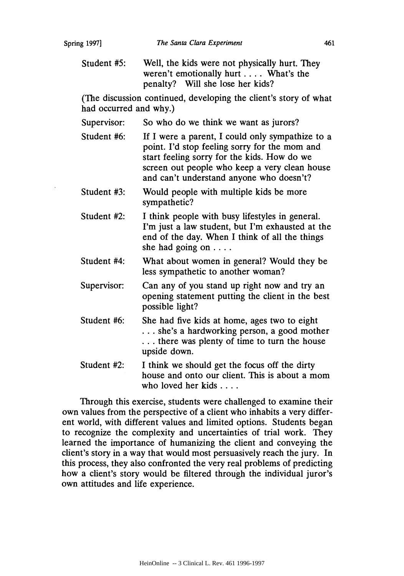Student #5: Well, the kids were not physically hurt. They weren't emotionally hurt .... What's the penalty? Will she lose her kids?

(The discussion continued, developing the client's story of what had occurred and why.)

Supervisor: So who do we think we want as jurors?

- Student #6: If I were a parent, I could only sympathize to a point. **I'd** stop feeling sorry for the mom and start feeling sorry for the kids. How do we screen out people who keep a very clean house and can't understand anyone who doesn't?
- Student #3: Would people with multiple kids be more sympathetic?
- Student #2: I think people with busy lifestyles in general. I'm just a law student, but I'm exhausted at the end of the day. When I think of all the things she had going on **....**
- Student #4: What about women in general? Would they be less sympathetic to another woman?
- Supervisor: Can any of you stand up right now and try an opening statement putting the client in the best possible light?
- Student #6: She had five kids at home, ages two to eight **...** she's a hardworking person, a good mother **...** there was plenty of time to turn the house upside down.
- Student #2: I think we should get the focus off the dirty house and onto our client. This is about a mom who loved her kids ....

Through this exercise, students were challenged to examine their own values from the perspective of a client who inhabits a very different world, with different values and limited options. Students began to recognize the complexity and uncertainties of trial work. They learned the importance of humanizing the client and conveying the client's story in a way that would most persuasively reach the jury. In this process, they also confronted the very real problems of predicting how a client's story would be filtered through the individual juror's own attitudes and life experience.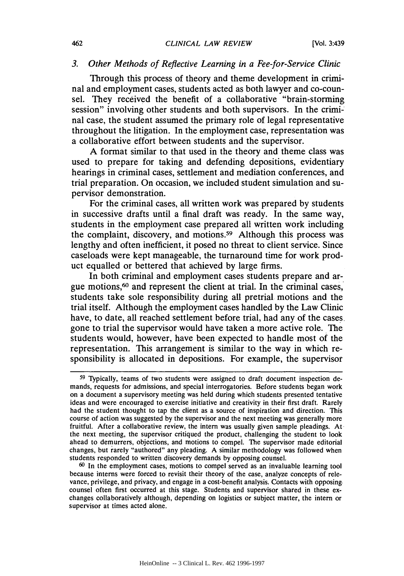#### *3. Other Methods of Reflective Learning in a Fee-for-Service Clinic*

Through this process of theory and theme development in criminal and employment cases, students acted as both lawyer and co-counsel. They received the benefit of a collaborative "brain-storming session" involving other students and both supervisors. In the criminal case, the student assumed the primary role of legal representative throughout the litigation. In the employment case, representation was a collaborative effort between students and the supervisor.

A format similar to that used in the theory and theme class was used to prepare for taking and defending depositions, evidentiary hearings in criminal cases, settlement and mediation conferences, and trial preparation. On occasion, we included student simulation and supervisor demonstration.

For the criminal cases, all written work was prepared by students in successive drafts until a final draft was ready. In the same way, students in the employment case prepared all written work including the complaint, discovery, and motions.<sup>59</sup> Although this process was lengthy and often inefficient, it posed no threat to client service. Since caseloads were kept manageable, the turnaround time for work product equalled or bettered that achieved by large firms.

In both criminal and employment cases students prepare and argue motions,60 and represent the client at trial. In the criminal cases, students take sole responsibility during all pretrial motions and the trial itself. Although the employment cases handled by the Law Clinic have, to date, all reached settlement before trial, had any of the cases. gone to trial the supervisor would have taken a more active role. The students would, however, have been expected to handle most of the representation. This arrangement is similar to the way in which responsibility is allocated in depositions. For example, the supervisor

**<sup>60</sup>**In the employment cases, motions to compel served as an invaluable learning tool because interns were forced to revisit their theory of the case, analyze concepts of relevance, privilege, and privacy, and engage in a cost-benefit analysis. Contacts with opposing. counsel often first occurred at this stage. Students and supervisor shared in these exchanges collaboratively although, depending on logistics or subject matter, the intern or supervisor at times acted alone.

**<sup>59</sup>** 'Ipically, teams of two students were assigned to draft document inspection demands, requests for admissions, and special interrogatories. Before students began work on a document a supervisory meeting was held during which students presented tentative ideas and were encouraged to exercise initiative and creativity in their first draft. Rarely had the student thought to tap the client as a source of inspiration and direction. This course of action was suggested by the supervisor and the next meeting was generally more fruitful. After a collaborative review, the intern was usually given sample pleadings. At the next meeting, the supervisor critiqued the product, challenging the student to look ahead to demurrers, objections, and motions to compel. The supervisor made editorial changes, but rarely "authored" any pleading. A similar methodology was followed when students responded to written discovery demands by opposing counsel.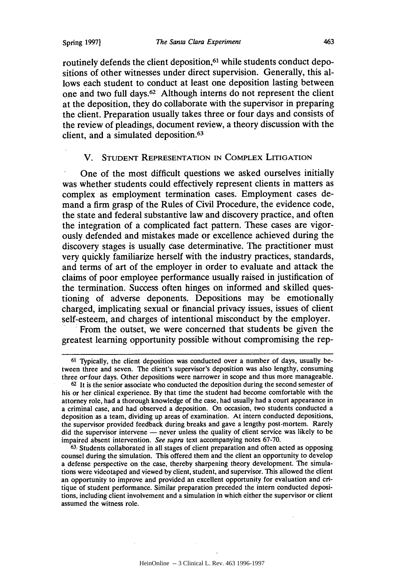routinely defends the client deposition,<sup>61</sup> while students conduct depositions of other witnesses under direct supervision. Generally, this allows each student to conduct at least one deposition lasting between one and two full days.<sup> $62$ </sup> Although interns do not represent the client at the deposition, they do collaborate with the supervisor in preparing the client. Preparation usually takes three or four days and consists of the review of pleadings, document review, a theory discussion with the client, and a simulated deposition.<sup>63</sup>

# V. **STUDENT REPRESENTATION IN** COMPLEX LITIGATION

One of the most difficult questions we asked ourselves initially was whether students could effectively represent clients in matters as complex as employment termination cases. Employment cases demand a firm grasp of the Rules of Civil Procedure, the evidence code, the state and federal substantive law and discovery practice, and often the integration of a complicated fact pattern. These cases are vigorously defended and mistakes made or excellence achieved during the discovery stages is usually case determinative. The practitioner must very quickly familiarize herself with the industry practices, standards, and terms of art of the employer in order to evaluate and attack the claims of poor employee performance usually raised in justification of the termination. Success often hinges on informed and skilled questioning of adverse deponents. Depositions may be emotionally charged, implicating sexual or financial privacy issues, issues of client self-esteem, and charges of intentional misconduct by the employer.

From the outset, we were concerned that students be given the greatest learning opportunity possible without compromising the rep-

**<sup>61</sup>** Typically, the client deposition was conducted over a number of days, usually between three and seven. The client's supervisor's deposition was also lengthy, consuming three orfour days. Other depositions were narrower in scope and thus more manageable.

**<sup>62</sup>**It is the senior associate who conducted the deposition during the second semester of his or her clinical experience. By that time the student had become comfortable with the attorney role, had a thorough knowledge of the case, had usually had a court appearance in a criminal case, and had observed a deposition. On occasion, two students conducted a deposition as a team, dividing up areas of examination. At intern conducted depositions, the supervisor provided feedback during breaks and gave a lengthy post-mortem. Rarely did the supervisor intervene  $-$  never unless the quality of client service was likely to be impaired absent intervention. *See supra* text accompanying notes 67-70.

<sup>63</sup> Students collaborated in all stages of client preparation and often acted as opposing counsel during the simulation. This offered them and the client an opportunity to develop a defense perspective on the case, thereby sharpening theory development. The simulations were videotaped and viewed by client, student, and supervisor. This allowed the client an opportunity to improve and provided an excellent opportunity for evaluation and critique of student performance. Similar preparation preceded the intern conducted depositions, including client involvement and a simulation in which either the supervisor or client assumed the witness role.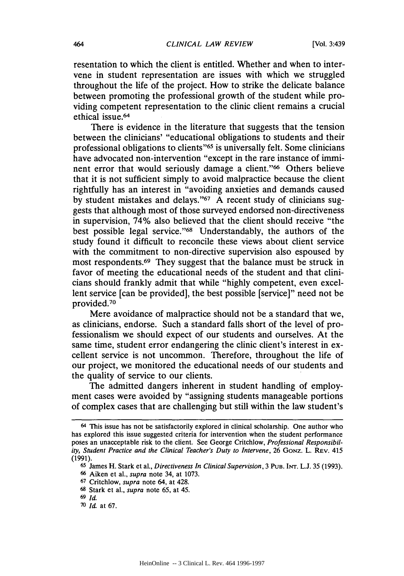resentation to which the client is entitled. Whether and when to intervene in student representation are issues with which we struggled throughout the life of the project. How to strike the delicate balance between promoting the professional growth of the student while providing competent representation to the clinic client remains a crucial ethical issue.<sup>64</sup>

There is evidence in the literature that suggests that the tension between the clinicians' "educational obligations to students and their professional obligations to clients" 65 is universally felt. Some clinicians have advocated non-intervention "except in the rare instance of imminent error that would seriously damage a client."<sup>66</sup> Others believe that it is not sufficient simply to avoid malpractice because the client rightfully has an interest in "avoiding anxieties and demands caused by student mistakes and delays." $67$  A recent study of clinicians suggests that although most of those surveyed endorsed non-directiveness in supervision, 74% also believed that the client should receive "the best possible legal service."<sup>68</sup> Understandably, the authors of the study found it difficult to reconcile these views about client service with the commitment to non-directive supervision also espoused by most respondents.<sup>69</sup> They suggest that the balance must be struck in favor of meeting the educational needs of the student and that clinicians should frankly admit that while "highly competent, even excellent service [can be provided], the best possible [service]" need not be provided.<sup>70</sup>

Mere avoidance of malpractice should not be a standard that we, as clinicians, endorse. Such a standard falls short of the level of professionalism we should expect of our students and ourselves. At the same time, student error endangering the clinic client's interest in excellent service is not uncommon. Therefore, throughout the life of our project, we monitored the educational needs of our students and the quality of service to our clients.

The admitted dangers inherent in student handling of employment cases were avoided by "assigning students manageable portions of complex cases that are challenging but still within the law student's

**<sup>67</sup>**Critchlow, *supra* note 64, at 428.

464

<sup>64</sup> This issue has not be satisfactorily explored in clinical scholarship. One author who has explored this issue suggested criteria for intervention when the student performance poses an unacceptable risk to the client. See George Critchlow, *Professional Responsibility, Student Practice and the Clinical Teacher's Duty to Intervene,* 26 **GONZ.** L. REv. 415 (1991).

**<sup>65</sup>**James H. Stark et al., *Directiveness In Clinical Supervision,* 3 **PUB.** INT. L.J. 35 (1993).

**<sup>66</sup>**Aiken et al., *supra* note 34, at 1073.

**<sup>68</sup>**Stark et al., *supra* note 65, at 45.

**<sup>69</sup>***Id.* **<sup>70</sup>**Id at 67.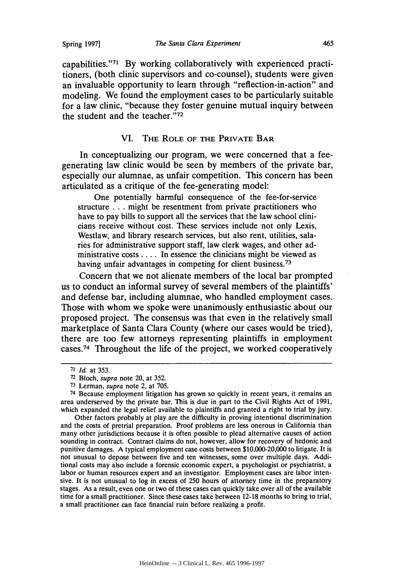capabilities."71 By working collaboratively with experienced practitioners, (both clinic supervisors and co-counsel), students were given an invaluable opportunity to learn through "reflection-in-action" and modeling. We found the employment cases to be particularly suitable for a law clinic, "because they foster genuine mutual inquiry between the student and the teacher." $72$ 

#### VI. **THE ROLE OF THE PRIVATE BAR**

In conceptualizing our program, we were concerned that a feegenerating law clinic would be seen **by** members of the private bar, especially our alumnae, as unfair competition. This concern has been articulated as a critique of the fee-generating model:

One potentially harmful consequence of the fee-for-service structure **...** might be resentment from private practitioners who have to pay bills to support all the services that the law school clinicians receive without cost. These services include not only Lexis, Westlaw, and library research services, but also rent, utilities, salaries for administrative support staff, law clerk wages, and other administrative costs **....** In essence the clinicians might be viewed as having unfair advantages in competing for client business.<sup>73</sup>

Concern that we not alienate members of the local bar prompted us to conduct an informal survey of several members of the plaintiffs' and defense bar, including alumnae, who handled employment cases. Those with whom we spoke were unanimously enthusiastic about our proposed project. The consensus was that even in the relatively small marketplace of Santa Clara County (where our cases would be tried), there are too few attorneys representing plaintiffs in employment cases. 74 Throughout the life of the project, we worked cooperatively

Other factors probably at play are the difficulty in proving intentional discrimination and the costs of pretrial preparation. Proof problems are less onerous in California than many other jurisdictions because it is often possible to plead alternative causes of action sounding in contract. Contract claims do not, however, allow for recovery of hedonic and punitive damages. **A** typical employment case costs between \$10,000-20,000 to litigate. It is not unusual to depose between five and ten witnesses, some over multiple days. Additional costs may also include a forensic economic expert, a psychologist or psychiatrist, a labor or human resources expert and an investigator. Employment cases are labor intensive. It is not unusual to log in excess of **250** hours of attorney time in the preparatory stages. As a result, even one or two of these cases can quickly take over all of the available time for a small practitioner. Since these cases take between **12-18** months to bring to trial, a small practitioner can face financial ruin before realizing a profit.

<sup>71</sup>*Id.* at **353.**

**<sup>72</sup>**Bloch, *supra* note 20, at **352.**

**<sup>73</sup>**Lerman, *supra* note 2, at **705.**

<sup>74</sup> Because employment litigation has grown so quickly in recent years, it remains an area underserved **by** the private bar. This is due in part to the Civil Rights Act of **1991,** which expanded the legal relief available to plaintiffs and granted a right to trial **by** jury.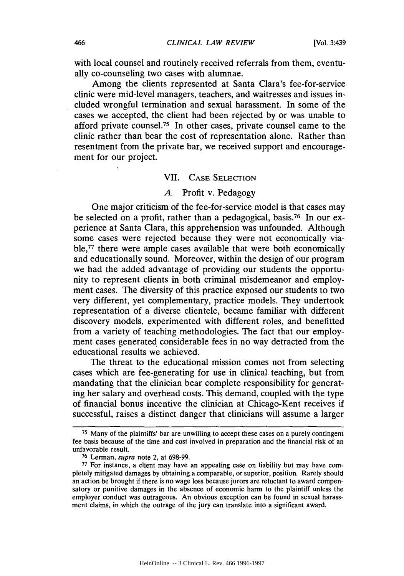with local counsel and routinely received referrals from them, eventually co-counseling two cases with alumnae.

Among the clients represented at Santa Clara's fee-for-service clinic were mid-level managers, teachers, and waitresses and issues included wrongful termination and sexual harassment. In some of the cases we accepted, the client had been rejected by or was unable to afford private counsel.<sup>75</sup> In other cases, private counsel came to the clinic rather than bear the cost of representation alone. Rather than resentment from the private bar, we received support and encouragement for our project.

#### VII. CASE SELECTION

#### *A.* Profit v. Pedagogy

One major criticism of the fee-for-service model is that cases may be selected on a profit, rather than a pedagogical, basis.<sup>76</sup> In our experience at Santa Clara, this apprehension was unfounded. Although some cases were rejected because they were not economically viable,<sup>77</sup> there were ample cases available that were both economically and educationally sound. Moreover, within the design of our program we had the added advantage of providing our students the opportunity to represent clients in both criminal misdemeanor and employment cases. The diversity of this practice exposed our students to two very different, yet complementary, practice models. They undertook representation of a diverse clientele, became familiar with different discovery models, experimented with different roles, and benefitted from a variety of teaching methodologies. The fact that our employment cases generated considerable fees in no way detracted from the educational results we achieved.

The threat to the educational mission comes not from selecting cases which are fee-generating for use in clinical teaching, but from mandating that the clinician bear complete responsibility for generating her salary and overhead costs. This demand, coupled with the type of financial bonus incentive the clinician at Chicago-Kent receives if successful, raises a distinct danger that clinicians will assume a larger

**<sup>75</sup>**Many of the plaintiffs' bar are unwilling to accept these cases on a purely contingent fee basis because of the time and cost involved in preparation and the financial risk of an unfavorable result.

<sup>76</sup> Lerman, *supra* note 2, at 698-99.

<sup>77</sup> For instance, a client may have an appealing case on liability but may have completely mitigated damages by obtaining a comparable, or superior, position. Rarely should an action be brought if there is no wage loss because jurors are reluctant to award compensatory or punitive damages in the absence of economic harm to the plaintiff unless the employer conduct was outrageous. An obvious exception can be found in sexual harassment claims, in which the outrage of the jury can translate into a significant award.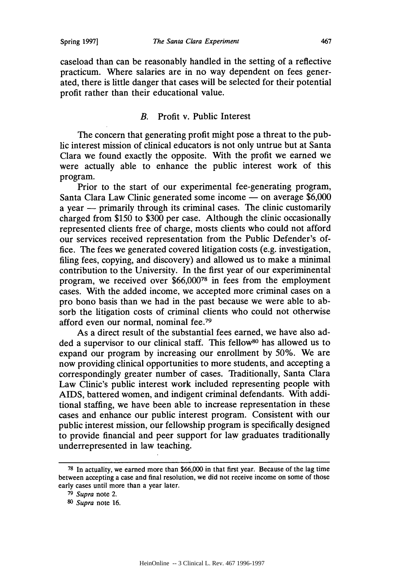caseload than can be reasonably handled in the setting of a reflective practicum. Where salaries are in no way dependent on fees generated, there is little danger that cases will be selected for their potential profit rather than their educational value.

# B. Profit v. Public Interest

The concern that generating profit might pose a threat to the public interest mission of clinical educators is not only untrue but at Santa Clara we found exactly the opposite. With the profit we earned we were actually able to enhance the public interest work of this program.

Prior to the start of our experimental fee-generating program, Santa Clara Law Clinic generated some income - on average \$6,000 a year  $-$  primarily through its criminal cases. The clinic customarily charged from \$150 to \$300 per case. Although the clinic occasionally represented clients free of charge, mosts clients who could not afford our services received representation from the Public Defender's office. The fees we generated covered litigation costs (e.g. investigation, filing fees, copying, and discovery) and allowed us to make a minimal contribution to the University. In the first year of our experiminental program, we received over **\$66,00078** in fees from the employment cases. With the added income, we accepted more criminal cases on a pro bono basis than we had in the past because we were able to absorb the litigation costs of criminal clients who could not otherwise afford even our normal, nominal fee.<sup>79</sup>

As a direct result of the substantial fees earned, we have also added a supervisor to our clinical staff. This fellow<sup>80</sup> has allowed us to expand our program by increasing our enrollment by 50%. We are now providing clinical opportunities to more students, and accepting a correspondingly greater number of cases. Traditionally, Santa Clara Law Clinic's public interest work included representing people with AIDS, battered women, and indigent criminal defendants. With additional staffing, we have been able to increase representation in these cases and enhance our public interest program. Consistent with our public interest mission, our fellowship program is specifically designed to provide financial and peer support for law graduates traditionally underrepresented in law teaching.

**<sup>78</sup>**In actuality, we earned more than \$66,000 in that first year. Because of the lag time between accepting a case and final resolution, we did not receive income on some of those early cases until more than a year later.

**<sup>79</sup>***Supra* note 2.

*<sup>80</sup>Supra* note 16.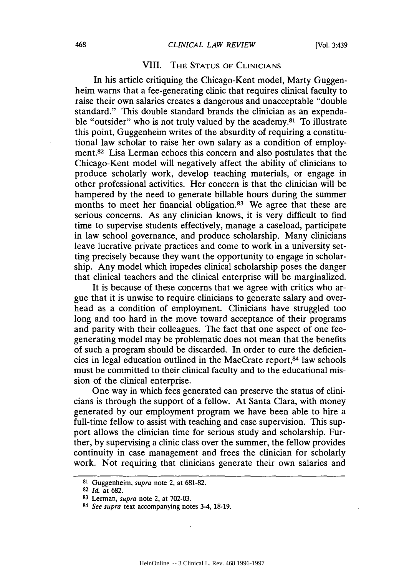# VIII. THE STATUS OF CLINICIANS

In his article critiquing the Chicago-Kent model, Marty Guggenheim warns that a fee-generating clinic that requires clinical faculty to raise their own salaries creates a dangerous and unacceptable "double standard." This double standard brands the clinician as an expendable "outsider" who is not truly valued by the academy.<sup>81</sup> To illustrate this point, Guggenheim writes of the absurdity of requiring a constitutional law scholar to raise her own salary as a condition of employment.<sup>82</sup> Lisa Lerman echoes this concern and also postulates that the Chicago-Kent model will negatively affect the ability of clinicians to produce scholarly work, develop teaching materials, or engage in other professional activities. Her concern is that the clinician will be hampered by the need to generate billable hours during the summer months to meet her financial obligation.<sup>83</sup> We agree that these are serious concerns. As any clinician knows, it is very difficult to find time to supervise students effectively, manage a caseload, participate in law school governance, and produce scholarship. Many clinicians leave lucrative private practices and come to work in a university setting precisely because they want the opportunity to engage in scholarship. Any model which impedes clinical scholarship poses the danger that clinical teachers and the clinical enterprise will be marginalized.

It is because of these concerns that we agree with critics who argue that it is unwise to require clinicians to generate salary and overhead as a condition of employment. Clinicians have struggled too long and too hard in the move toward acceptance of their programs and parity with their colleagues. The fact that one aspect of one feegenerating model may be problematic does not mean that the benefits of such a program should be discarded. In order to cure the deficiencies in legal education outlined in the MacCrate report,84 law schools must be committed to their clinical faculty and to the educational mission of the clinical enterprise.

One way in which fees generated can preserve the status of clinicians is through the support of a fellow. At Santa Clara, with money generated by our employment program we have been able to hire a full-time fellow to assist with teaching and case supervision. This support allows the clinician time for serious study and scholarship. Further, by supervising a clinic class over the summer, the fellow provides continuity in case management and frees the clinician for scholarly work. Not requiring that clinicians generate their own salaries and

<sup>81</sup> Guggenheim, *supra* note 2, at 681-82.

<sup>82</sup>*Id.* at 682.

<sup>83</sup> Lerman, *supra* note 2, at 702-03.

*<sup>84</sup> See supra* text accompanying notes 3-4, 18-19.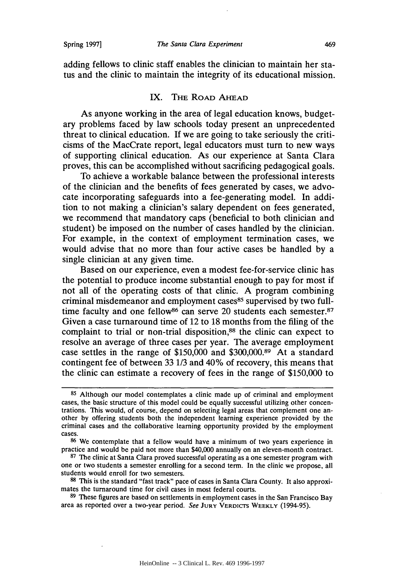adding fellows to clinic staff enables the clinician to maintain her status and the clinic to maintain the integrity of its educational mission.

#### IX. THE ROAD AHEAD

As anyone working in the area of legal education knows, budgetary problems faced by law schools today present an unprecedented threat to clinical education. **If** we are going to take seriously the criticisms of the MacCrate report, legal educators must turn to new ways of supporting clinical education. As our experience at Santa Clara proves, this can be accomplished without sacrificing pedagogical goals.

To achieve a workable balance between the professional interests of the clinician and the benefits of fees generated by cases, we advocate incorporating safeguards into a fee-generating model. In addition to not making a clinician's salary dependent on fees generated, we recommend that mandatory caps (beneficial to both clinician and student) be imposed on the number of cases handled by the clinician. For example, in the context of employment termination cases, we would advise that no more than four active cases be handled by a single clinician at any given time.

Based on our experience, even a modest fee-for-service clinic has the potential to produce income substantial enough to pay for most if not all of the operating costs of that clinic. A program combining criminal misdemeanor and employment cases<sup>85</sup> supervised by two fulltime faculty and one fellow<sup>86</sup> can serve 20 students each semester.<sup>87</sup> Given a case turnaround time of 12 to 18 months from the filing of the complaint to trial or non-trial disposition,<sup>88</sup> the clinic can expect to resolve an average of three cases per year. The average employment case settles in the range of \$150,000 and \$300,000.89 At a standard contingent fee of between 33 1/3 and 40% of recovery, this means that the clinic can estimate a recovery of fees in the range of \$150,000 to

**<sup>85</sup>**Although our model contemplates a clinic made up of criminal and employment cases, the basic structure of this model could be equally successful utilizing other concentrations. This would, of course, depend on selecting legal areas that complement one an- other by offering students both the independent learning experience provided by the criminal cases and the collaborative learning opportunity provided by the employment cases.

**<sup>86</sup>**We contemplate that a fellow would have a minimum of two years experience in practice and would be paid not more than \$40,000 annually on an eleven-month contract.

**<sup>87</sup>**The clinic at Santa Clara proved successful operating as a one semester program with one or two students a semester enrolling for a second term. In the clinic we propose, all students would enroll for two semesters.

**<sup>88</sup>** This is the standard "fast track" pace of cases in Santa Clara County. It also approximates the turnaround time for civil cases in most federal courts.

**<sup>89</sup>**These figures are based on settlements in employment cases in the San Francisco Bay area as reported over a two-year period. *See* **JURY** VERDICTS WEEKLY (1994-95).